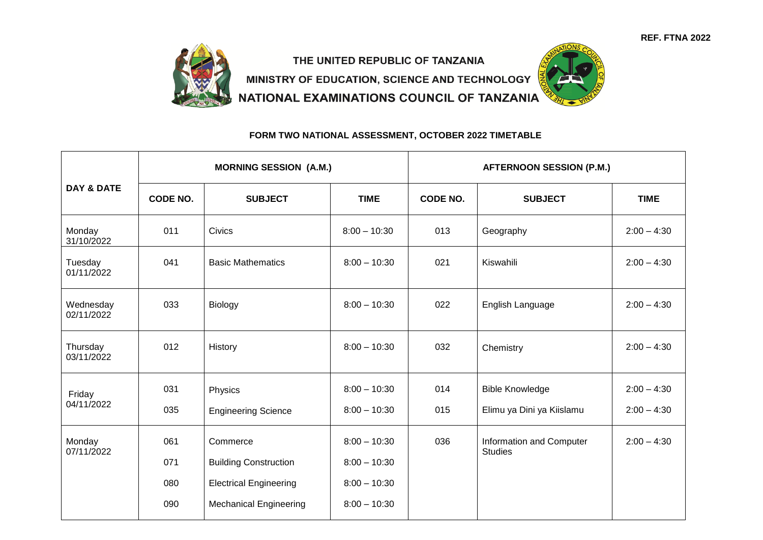

THE UNITED REPUBLIC OF TANZANIA MINISTRY OF EDUCATION, SCIENCE AND TECHNOLOGY NATIONAL EXAMINATIONS COUNCIL OF TANZANIA



## **FORM TWO NATIONAL ASSESSMENT, OCTOBER 2022 TIMETABLE**

| <b>DAY &amp; DATE</b>   | <b>MORNING SESSION (A.M.)</b> |                               |                | <b>AFTERNOON SESSION (P.M.)</b> |                                            |               |
|-------------------------|-------------------------------|-------------------------------|----------------|---------------------------------|--------------------------------------------|---------------|
|                         | CODE NO.                      | <b>SUBJECT</b>                | <b>TIME</b>    | CODE NO.                        | <b>SUBJECT</b>                             | <b>TIME</b>   |
| Monday<br>31/10/2022    | 011                           | Civics                        | $8:00 - 10:30$ | 013                             | Geography                                  | $2:00 - 4:30$ |
| Tuesday<br>01/11/2022   | 041                           | <b>Basic Mathematics</b>      | $8:00 - 10:30$ | 021                             | Kiswahili                                  | $2:00 - 4:30$ |
| Wednesday<br>02/11/2022 | 033                           | Biology                       | $8:00 - 10:30$ | 022                             | English Language                           | $2:00 - 4:30$ |
| Thursday<br>03/11/2022  | 012                           | History                       | $8:00 - 10:30$ | 032                             | Chemistry                                  | $2:00 - 4:30$ |
| Friday<br>04/11/2022    | 031                           | Physics                       | $8:00 - 10:30$ | 014                             | <b>Bible Knowledge</b>                     | $2:00 - 4:30$ |
|                         | 035                           | <b>Engineering Science</b>    | $8:00 - 10:30$ | 015                             | Elimu ya Dini ya Kiislamu                  | $2:00 - 4:30$ |
| Monday<br>07/11/2022    | 061                           | Commerce                      | $8:00 - 10:30$ | 036                             | Information and Computer<br><b>Studies</b> | $2:00 - 4:30$ |
|                         | 071                           | <b>Building Construction</b>  | $8:00 - 10:30$ |                                 |                                            |               |
|                         | 080                           | <b>Electrical Engineering</b> | $8:00 - 10:30$ |                                 |                                            |               |
|                         | 090                           | <b>Mechanical Engineering</b> | $8:00 - 10:30$ |                                 |                                            |               |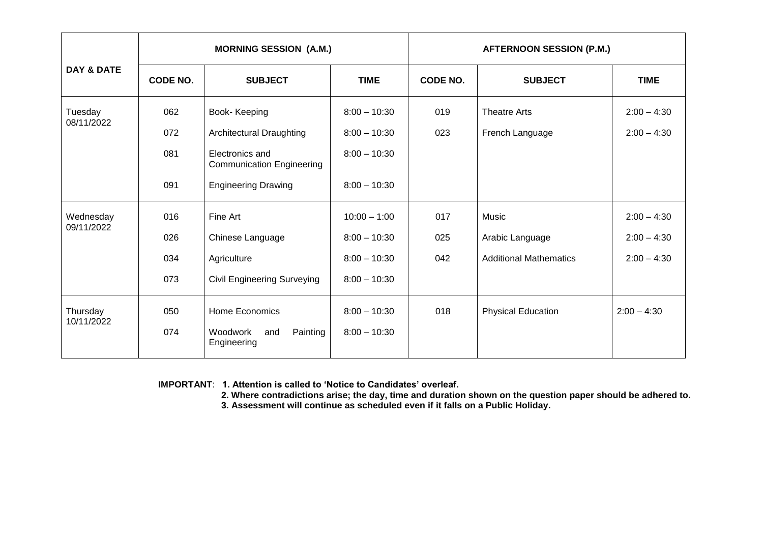| <b>DAY &amp; DATE</b>   | <b>MORNING SESSION (A.M.)</b> |                                                     |                | <b>AFTERNOON SESSION (P.M.)</b> |                               |               |
|-------------------------|-------------------------------|-----------------------------------------------------|----------------|---------------------------------|-------------------------------|---------------|
|                         | CODE NO.                      | <b>SUBJECT</b>                                      | <b>TIME</b>    | <b>CODE NO.</b>                 | <b>SUBJECT</b>                | <b>TIME</b>   |
| Tuesday<br>08/11/2022   | 062                           | Book- Keeping                                       | $8:00 - 10:30$ | 019                             | <b>Theatre Arts</b>           | $2:00 - 4:30$ |
|                         | 072                           | Architectural Draughting                            | $8:00 - 10:30$ | 023                             | French Language               | $2:00 - 4:30$ |
|                         | 081                           | Electronics and<br><b>Communication Engineering</b> | $8:00 - 10:30$ |                                 |                               |               |
|                         | 091                           | <b>Engineering Drawing</b>                          | $8:00 - 10:30$ |                                 |                               |               |
| Wednesday<br>09/11/2022 | 016                           | Fine Art                                            | $10:00 - 1:00$ | 017                             | Music                         | $2:00 - 4:30$ |
|                         | 026                           | Chinese Language                                    | $8:00 - 10:30$ | 025                             | Arabic Language               | $2:00 - 4:30$ |
|                         | 034                           | Agriculture                                         | $8:00 - 10:30$ | 042                             | <b>Additional Mathematics</b> | $2:00 - 4:30$ |
|                         | 073                           | <b>Civil Engineering Surveying</b>                  | $8:00 - 10:30$ |                                 |                               |               |
| Thursday<br>10/11/2022  | 050                           | Home Economics                                      | $8:00 - 10:30$ | 018                             | <b>Physical Education</b>     | $2:00 - 4:30$ |
|                         | 074                           | Woodwork<br>Painting<br>and<br>Engineering          | $8:00 - 10:30$ |                                 |                               |               |

 **IMPORTANT**: **1. Attention is called to 'Notice to Candidates' overleaf.**

 **2. Where contradictions arise; the day, time and duration shown on the question paper should be adhered to.**

 **3. Assessment will continue as scheduled even if it falls on a Public Holiday.**